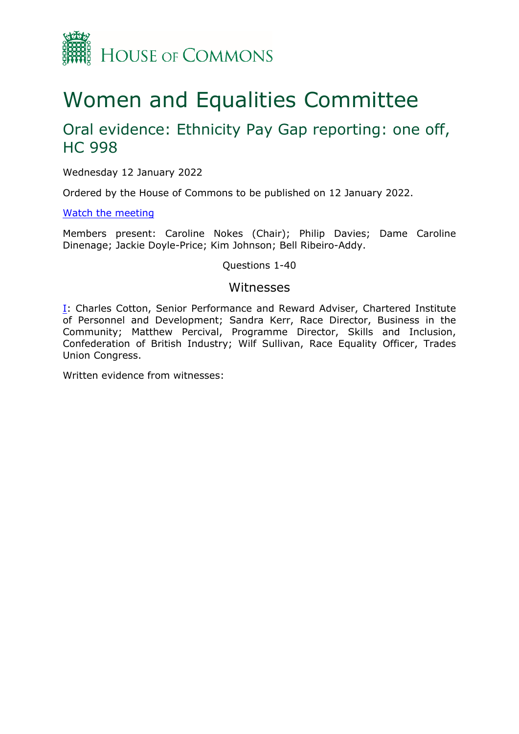

# Women and Equalities Committee

## Oral evidence: Ethnicity Pay Gap reporting: one off, HC 998

Wednesday 12 January 2022

Ordered by the House of Commons to be published on 12 January 2022.

[Watch](https://www.parliamentlive.tv/Event/Index/fdf6686d-b019-4b4f-ab6f-0a0ec9f90558) [the](https://www.parliamentlive.tv/Event/Index/fdf6686d-b019-4b4f-ab6f-0a0ec9f90558) [meeting](https://www.parliamentlive.tv/Event/Index/fdf6686d-b019-4b4f-ab6f-0a0ec9f90558)

Members present: Caroline Nokes (Chair); Philip Davies; Dame Caroline Dinenage; Jackie Doyle-Price; Kim Johnson; Bell Ribeiro-Addy.

Questions 1-40

#### Witnesses

[I:](#page-1-0) Charles Cotton, Senior Performance and Reward Adviser, Chartered Institute of Personnel and Development; Sandra Kerr, Race Director, Business in the Community; Matthew Percival, Programme Director, Skills and Inclusion, Confederation of British Industry; Wilf Sullivan, Race Equality Officer, Trades Union Congress.

Written evidence from witnesses: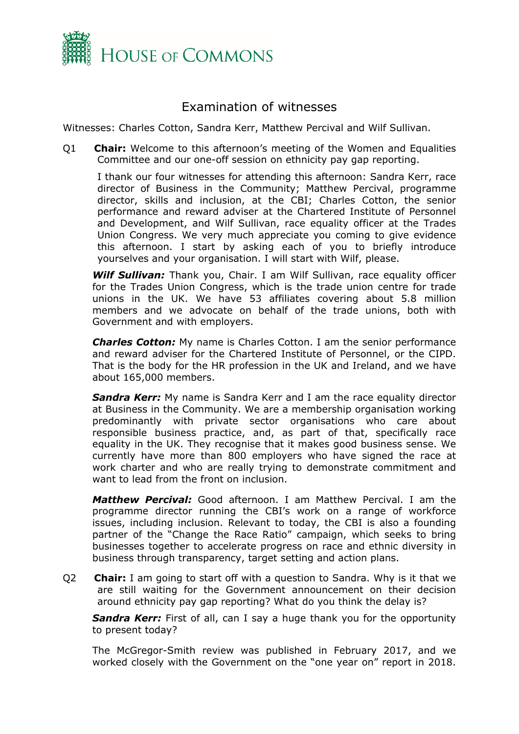

### <span id="page-1-0"></span>Examination of witnesses

Witnesses: Charles Cotton, Sandra Kerr, Matthew Percival and Wilf Sullivan.

Q1 **Chair:** Welcome to this afternoon's meeting of the Women and Equalities Committee and our one-off session on ethnicity pay gap reporting.

I thank our four witnesses for attending this afternoon: Sandra Kerr, race director of Business in the Community; Matthew Percival, programme director, skills and inclusion, at the CBI; Charles Cotton, the senior performance and reward adviser at the Chartered Institute of Personnel and Development, and Wilf Sullivan, race equality officer at the Trades Union Congress. We very much appreciate you coming to give evidence this afternoon. I start by asking each of you to briefly introduce yourselves and your organisation. I will start with Wilf, please.

*Wilf Sullivan:* Thank you, Chair. I am Wilf Sullivan, race equality officer for the Trades Union Congress, which is the trade union centre for trade unions in the UK. We have 53 affiliates covering about 5.8 million members and we advocate on behalf of the trade unions, both with Government and with employers.

*Charles Cotton:* My name is Charles Cotton. I am the senior performance and reward adviser for the Chartered Institute of Personnel, or the CIPD. That is the body for the HR profession in the UK and Ireland, and we have about 165,000 members.

**Sandra Kerr:** My name is Sandra Kerr and I am the race equality director at Business in the Community. We are a membership organisation working predominantly with private sector organisations who care about responsible business practice, and, as part of that, specifically race equality in the UK. They recognise that it makes good business sense. We currently have more than 800 employers who have signed the race at work charter and who are really trying to demonstrate commitment and want to lead from the front on inclusion.

*Matthew Percival:* Good afternoon. I am Matthew Percival. I am the programme director running the CBI's work on a range of workforce issues, including inclusion. Relevant to today, the CBI is also a founding partner of the "Change the Race Ratio" campaign, which seeks to bring businesses together to accelerate progress on race and ethnic diversity in business through transparency, target setting and action plans.

Q2 **Chair:** I am going to start off with a question to Sandra. Why is it that we are still waiting for the Government announcement on their decision around ethnicity pay gap reporting? What do you think the delay is?

**Sandra Kerr:** First of all, can I say a huge thank you for the opportunity to present today?

The McGregor-Smith review was published in February 2017, and we worked closely with the Government on the "one year on" report in 2018.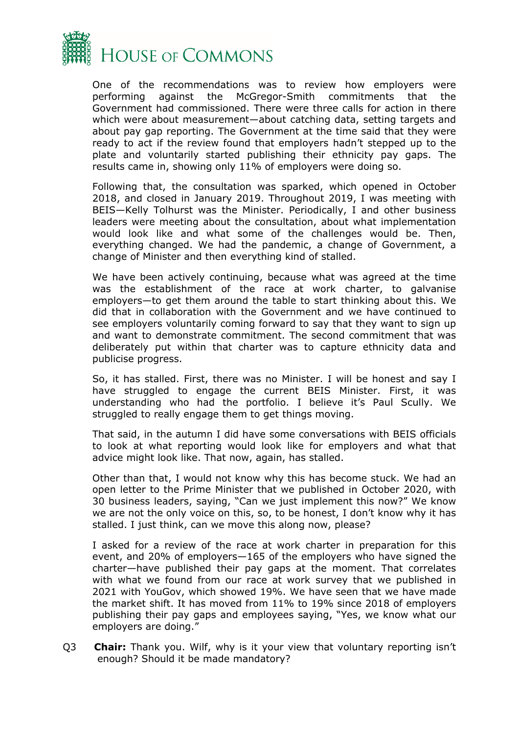

One of the recommendations was to review how employers were performing against the McGregor-Smith commitments that the Government had commissioned. There were three calls for action in there which were about measurement—about catching data, setting targets and about pay gap reporting. The Government at the time said that they were ready to act if the review found that employers hadn't stepped up to the plate and voluntarily started publishing their ethnicity pay gaps. The results came in, showing only 11% of employers were doing so.

Following that, the consultation was sparked, which opened in October 2018, and closed in January 2019. Throughout 2019, I was meeting with BEIS—Kelly Tolhurst was the Minister. Periodically, I and other business leaders were meeting about the consultation, about what implementation would look like and what some of the challenges would be. Then, everything changed. We had the pandemic, a change of Government, a change of Minister and then everything kind of stalled.

We have been actively continuing, because what was agreed at the time was the establishment of the race at work charter, to galvanise employers—to get them around the table to start thinking about this. We did that in collaboration with the Government and we have continued to see employers voluntarily coming forward to say that they want to sign up and want to demonstrate commitment. The second commitment that was deliberately put within that charter was to capture ethnicity data and publicise progress.

So, it has stalled. First, there was no Minister. I will be honest and say I have struggled to engage the current BEIS Minister. First, it was understanding who had the portfolio. I believe it's Paul Scully. We struggled to really engage them to get things moving.

That said, in the autumn I did have some conversations with BEIS officials to look at what reporting would look like for employers and what that advice might look like. That now, again, has stalled.

Other than that, I would not know why this has become stuck. We had an open letter to the Prime Minister that we published in October 2020, with 30 business leaders, saying, "Can we just implement this now?" We know we are not the only voice on this, so, to be honest, I don't know why it has stalled. I just think, can we move this along now, please?

I asked for a review of the race at work charter in preparation for this event, and 20% of employers—165 of the employers who have signed the charter—have published their pay gaps at the moment. That correlates with what we found from our race at work survey that we published in 2021 with YouGov, which showed 19%. We have seen that we have made the market shift. It has moved from 11% to 19% since 2018 of employers publishing their pay gaps and employees saying, "Yes, we know what our employers are doing."

Q3 **Chair:** Thank you. Wilf, why is it your view that voluntary reporting isn't enough? Should it be made mandatory?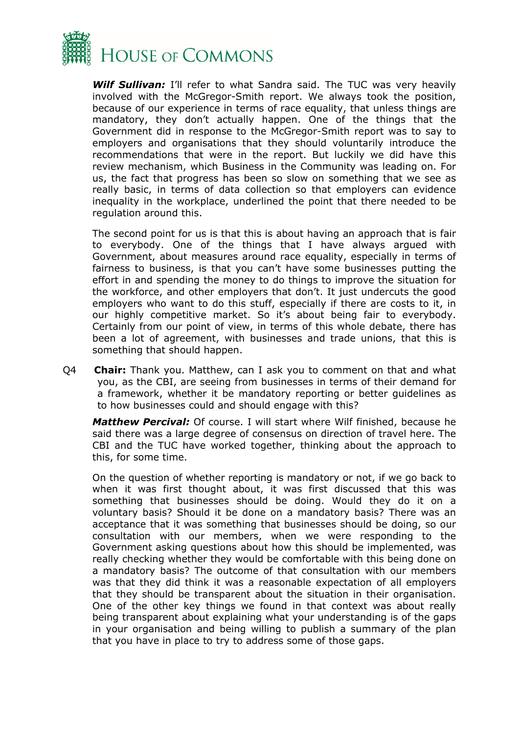

**Wilf Sullivan:** I'll refer to what Sandra said. The TUC was very heavily involved with the McGregor-Smith report. We always took the position, because of our experience in terms of race equality, that unless things are mandatory, they don't actually happen. One of the things that the Government did in response to the McGregor-Smith report was to say to employers and organisations that they should voluntarily introduce the recommendations that were in the report. But luckily we did have this review mechanism, which Business in the Community was leading on. For us, the fact that progress has been so slow on something that we see as really basic, in terms of data collection so that employers can evidence inequality in the workplace, underlined the point that there needed to be regulation around this.

The second point for us is that this is about having an approach that is fair to everybody. One of the things that I have always argued with Government, about measures around race equality, especially in terms of fairness to business, is that you can't have some businesses putting the effort in and spending the money to do things to improve the situation for the workforce, and other employers that don't. It just undercuts the good employers who want to do this stuff, especially if there are costs to it, in our highly competitive market. So it's about being fair to everybody. Certainly from our point of view, in terms of this whole debate, there has been a lot of agreement, with businesses and trade unions, that this is something that should happen.

Q4 **Chair:** Thank you. Matthew, can I ask you to comment on that and what you, as the CBI, are seeing from businesses in terms of their demand for a framework, whether it be mandatory reporting or better guidelines as to how businesses could and should engage with this?

*Matthew Percival:* Of course. I will start where Wilf finished, because he said there was a large degree of consensus on direction of travel here. The CBI and the TUC have worked together, thinking about the approach to this, for some time.

On the question of whether reporting is mandatory or not, if we go back to when it was first thought about, it was first discussed that this was something that businesses should be doing. Would they do it on a voluntary basis? Should it be done on a mandatory basis? There was an acceptance that it was something that businesses should be doing, so our consultation with our members, when we were responding to the Government asking questions about how this should be implemented, was really checking whether they would be comfortable with this being done on a mandatory basis? The outcome of that consultation with our members was that they did think it was a reasonable expectation of all employers that they should be transparent about the situation in their organisation. One of the other key things we found in that context was about really being transparent about explaining what your understanding is of the gaps in your organisation and being willing to publish a summary of the plan that you have in place to try to address some of those gaps.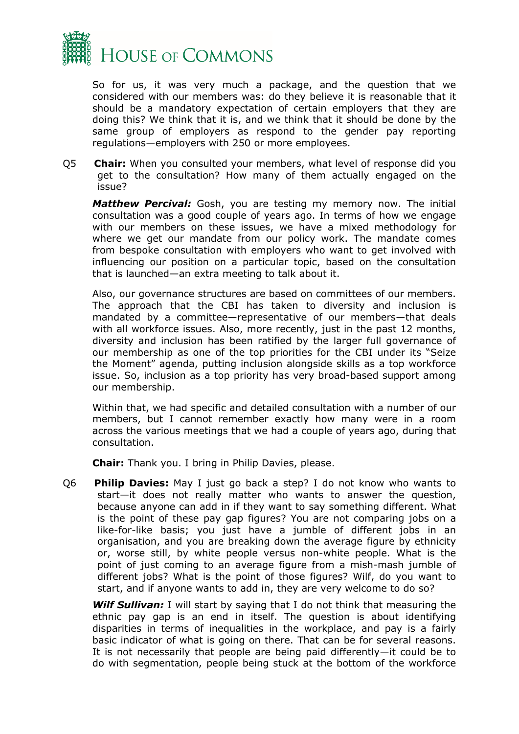

So for us, it was very much a package, and the question that we considered with our members was: do they believe it is reasonable that it should be a mandatory expectation of certain employers that they are doing this? We think that it is, and we think that it should be done by the same group of employers as respond to the gender pay reporting regulations—employers with 250 or more employees.

Q5 **Chair:** When you consulted your members, what level of response did you get to the consultation? How many of them actually engaged on the issue?

*Matthew Percival:* Gosh, you are testing my memory now. The initial consultation was a good couple of years ago. In terms of how we engage with our members on these issues, we have a mixed methodology for where we get our mandate from our policy work. The mandate comes from bespoke consultation with employers who want to get involved with influencing our position on a particular topic, based on the consultation that is launched—an extra meeting to talk about it.

Also, our governance structures are based on committees of our members. The approach that the CBI has taken to diversity and inclusion is mandated by a committee—representative of our members—that deals with all workforce issues. Also, more recently, just in the past 12 months, diversity and inclusion has been ratified by the larger full governance of our membership as one of the top priorities for the CBI under its "Seize the Moment" agenda, putting inclusion alongside skills as a top workforce issue. So, inclusion as a top priority has very broad-based support among our membership.

Within that, we had specific and detailed consultation with a number of our members, but I cannot remember exactly how many were in a room across the various meetings that we had a couple of years ago, during that consultation.

**Chair:** Thank you. I bring in Philip Davies, please.

Q6 **Philip Davies:** May I just go back a step? I do not know who wants to start—it does not really matter who wants to answer the question, because anyone can add in if they want to say something different. What is the point of these pay gap figures? You are not comparing jobs on a like-for-like basis; you just have a jumble of different jobs in an organisation, and you are breaking down the average figure by ethnicity or, worse still, by white people versus non-white people. What is the point of just coming to an average figure from a mish-mash jumble of different jobs? What is the point of those figures? Wilf, do you want to start, and if anyone wants to add in, they are very welcome to do so?

*Wilf Sullivan:* I will start by saying that I do not think that measuring the ethnic pay gap is an end in itself. The question is about identifying disparities in terms of inequalities in the workplace, and pay is a fairly basic indicator of what is going on there. That can be for several reasons. It is not necessarily that people are being paid differently—it could be to do with segmentation, people being stuck at the bottom of the workforce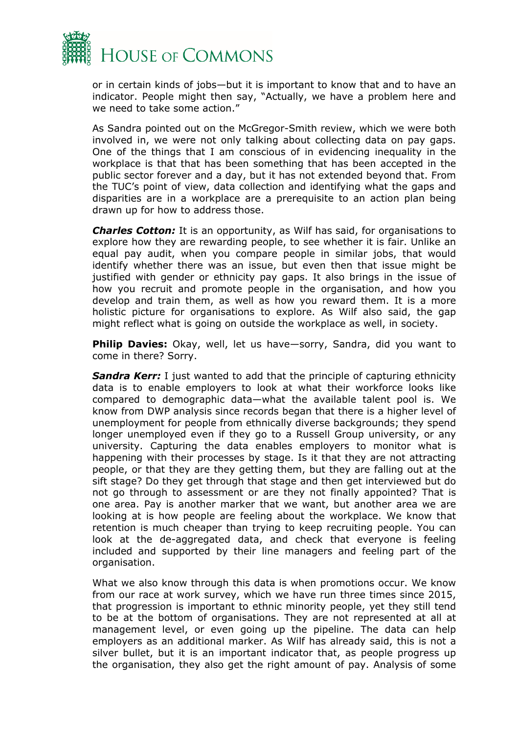

or in certain kinds of jobs—but it is important to know that and to have an indicator. People might then say, "Actually, we have a problem here and we need to take some action."

As Sandra pointed out on the McGregor-Smith review, which we were both involved in, we were not only talking about collecting data on pay gaps. One of the things that I am conscious of in evidencing inequality in the workplace is that that has been something that has been accepted in the public sector forever and a day, but it has not extended beyond that. From the TUC's point of view, data collection and identifying what the gaps and disparities are in a workplace are a prerequisite to an action plan being drawn up for how to address those.

*Charles Cotton:* It is an opportunity, as Wilf has said, for organisations to explore how they are rewarding people, to see whether it is fair. Unlike an equal pay audit, when you compare people in similar jobs, that would identify whether there was an issue, but even then that issue might be justified with gender or ethnicity pay gaps. It also brings in the issue of how you recruit and promote people in the organisation, and how you develop and train them, as well as how you reward them. It is a more holistic picture for organisations to explore. As Wilf also said, the gap might reflect what is going on outside the workplace as well, in society.

**Philip Davies:** Okay, well, let us have—sorry, Sandra, did you want to come in there? Sorry.

**Sandra Kerr:** I just wanted to add that the principle of capturing ethnicity data is to enable employers to look at what their workforce looks like compared to demographic data—what the available talent pool is. We know from DWP analysis since records began that there is a higher level of unemployment for people from ethnically diverse backgrounds; they spend longer unemployed even if they go to a Russell Group university, or any university. Capturing the data enables employers to monitor what is happening with their processes by stage. Is it that they are not attracting people, or that they are they getting them, but they are falling out at the sift stage? Do they get through that stage and then get interviewed but do not go through to assessment or are they not finally appointed? That is one area. Pay is another marker that we want, but another area we are looking at is how people are feeling about the workplace. We know that retention is much cheaper than trying to keep recruiting people. You can look at the de-aggregated data, and check that everyone is feeling included and supported by their line managers and feeling part of the organisation.

What we also know through this data is when promotions occur. We know from our race at work survey, which we have run three times since 2015, that progression is important to ethnic minority people, yet they still tend to be at the bottom of organisations. They are not represented at all at management level, or even going up the pipeline. The data can help employers as an additional marker. As Wilf has already said, this is not a silver bullet, but it is an important indicator that, as people progress up the organisation, they also get the right amount of pay. Analysis of some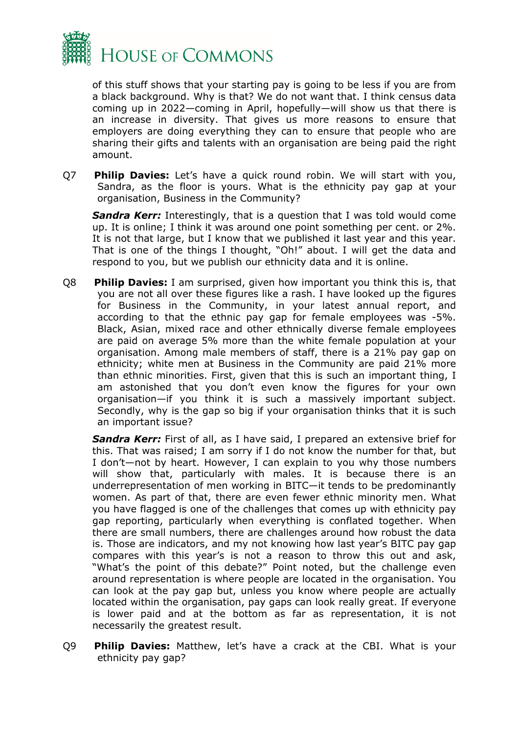

of this stuff shows that your starting pay is going to be less if you are from a black background. Why is that? We do not want that. I think census data coming up in 2022—coming in April, hopefully—will show us that there is an increase in diversity. That gives us more reasons to ensure that employers are doing everything they can to ensure that people who are sharing their gifts and talents with an organisation are being paid the right amount.

Q7 **Philip Davies:** Let's have a quick round robin. We will start with you, Sandra, as the floor is yours. What is the ethnicity pay gap at your organisation, Business in the Community?

**Sandra Kerr:** Interestingly, that is a question that I was told would come up. It is online; I think it was around one point something per cent. or 2%. It is not that large, but I know that we published it last year and this year. That is one of the things I thought, "Oh!" about. I will get the data and respond to you, but we publish our ethnicity data and it is online.

Q8 **Philip Davies:** I am surprised, given how important you think this is, that you are not all over these figures like a rash. I have looked up the figures for Business in the Community, in your latest annual report, and according to that the ethnic pay gap for female employees was -5%. Black, Asian, mixed race and other ethnically diverse female employees are paid on average 5% more than the white female population at your organisation. Among male members of staff, there is a 21% pay gap on ethnicity; white men at Business in the Community are paid 21% more than ethnic minorities. First, given that this is such an important thing, I am astonished that you don't even know the figures for your own organisation—if you think it is such a massively important subject. Secondly, why is the gap so big if your organisation thinks that it is such an important issue?

**Sandra Kerr:** First of all, as I have said, I prepared an extensive brief for this. That was raised; I am sorry if I do not know the number for that, but I don't—not by heart. However, I can explain to you why those numbers will show that, particularly with males. It is because there is an underrepresentation of men working in BITC—it tends to be predominantly women. As part of that, there are even fewer ethnic minority men. What you have flagged is one of the challenges that comes up with ethnicity pay gap reporting, particularly when everything is conflated together. When there are small numbers, there are challenges around how robust the data is. Those are indicators, and my not knowing how last year's BITC pay gap compares with this year's is not a reason to throw this out and ask, "What's the point of this debate?" Point noted, but the challenge even around representation is where people are located in the organisation. You can look at the pay gap but, unless you know where people are actually located within the organisation, pay gaps can look really great. If everyone is lower paid and at the bottom as far as representation, it is not necessarily the greatest result.

Q9 **Philip Davies:** Matthew, let's have a crack at the CBI. What is your ethnicity pay gap?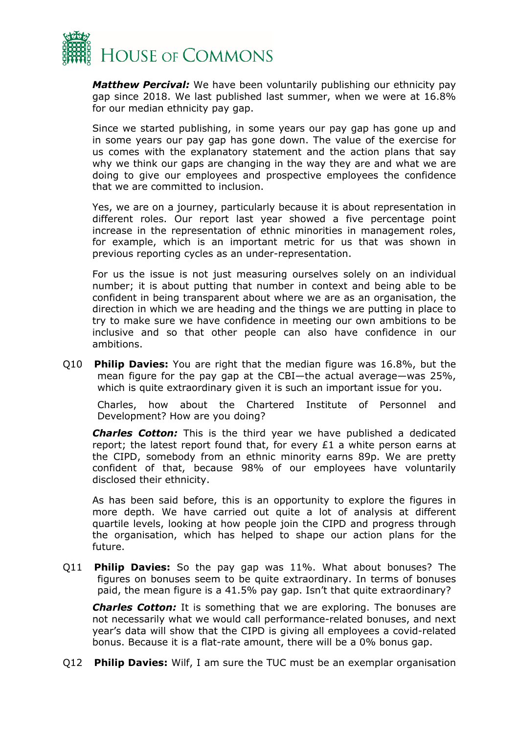

*Matthew Percival:* We have been voluntarily publishing our ethnicity pay gap since 2018. We last published last summer, when we were at 16.8% for our median ethnicity pay gap.

Since we started publishing, in some years our pay gap has gone up and in some years our pay gap has gone down. The value of the exercise for us comes with the explanatory statement and the action plans that say why we think our gaps are changing in the way they are and what we are doing to give our employees and prospective employees the confidence that we are committed to inclusion.

Yes, we are on a journey, particularly because it is about representation in different roles. Our report last year showed a five percentage point increase in the representation of ethnic minorities in management roles, for example, which is an important metric for us that was shown in previous reporting cycles as an under-representation.

For us the issue is not just measuring ourselves solely on an individual number; it is about putting that number in context and being able to be confident in being transparent about where we are as an organisation, the direction in which we are heading and the things we are putting in place to try to make sure we have confidence in meeting our own ambitions to be inclusive and so that other people can also have confidence in our ambitions.

Q10 **Philip Davies:** You are right that the median figure was 16.8%, but the mean figure for the pay gap at the CBI—the actual average—was 25%, which is quite extraordinary given it is such an important issue for you.

Charles, how about the Chartered Institute of Personnel and Development? How are you doing?

*Charles Cotton:* This is the third year we have published a dedicated report; the latest report found that, for every £1 a white person earns at the CIPD, somebody from an ethnic minority earns 89p. We are pretty confident of that, because 98% of our employees have voluntarily disclosed their ethnicity.

As has been said before, this is an opportunity to explore the figures in more depth. We have carried out quite a lot of analysis at different quartile levels, looking at how people join the CIPD and progress through the organisation, which has helped to shape our action plans for the future.

Q11 **Philip Davies:** So the pay gap was 11%. What about bonuses? The figures on bonuses seem to be quite extraordinary. In terms of bonuses paid, the mean figure is a 41.5% pay gap. Isn't that quite extraordinary?

*Charles Cotton:* It is something that we are exploring. The bonuses are not necessarily what we would call performance-related bonuses, and next year's data will show that the CIPD is giving all employees a covid-related bonus. Because it is a flat-rate amount, there will be a 0% bonus gap.

Q12 **Philip Davies:** Wilf, I am sure the TUC must be an exemplar organisation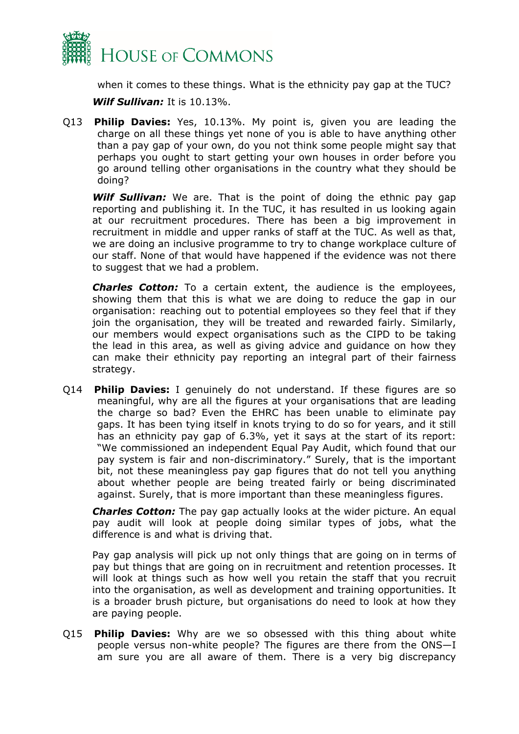

when it comes to these things. What is the ethnicity pay gap at the TUC?

*Wilf Sullivan:* It is 10.13%.

Q13 **Philip Davies:** Yes, 10.13%. My point is, given you are leading the charge on all these things yet none of you is able to have anything other than a pay gap of your own, do you not think some people might say that perhaps you ought to start getting your own houses in order before you go around telling other organisations in the country what they should be doing?

*Wilf Sullivan:* We are. That is the point of doing the ethnic pay gap reporting and publishing it. In the TUC, it has resulted in us looking again at our recruitment procedures. There has been a big improvement in recruitment in middle and upper ranks of staff at the TUC. As well as that, we are doing an inclusive programme to try to change workplace culture of our staff. None of that would have happened if the evidence was not there to suggest that we had a problem.

*Charles Cotton:* To a certain extent, the audience is the employees, showing them that this is what we are doing to reduce the gap in our organisation: reaching out to potential employees so they feel that if they join the organisation, they will be treated and rewarded fairly. Similarly, our members would expect organisations such as the CIPD to be taking the lead in this area, as well as giving advice and guidance on how they can make their ethnicity pay reporting an integral part of their fairness strategy.

Q14 **Philip Davies:** I genuinely do not understand. If these figures are so meaningful, why are all the figures at your organisations that are leading the charge so bad? Even the EHRC has been unable to eliminate pay gaps. It has been tying itself in knots trying to do so for years, and it still has an ethnicity pay gap of 6.3%, yet it says at the start of its report: "We commissioned an independent Equal Pay Audit, which found that our pay system is fair and non-discriminatory." Surely, that is the important bit, not these meaningless pay gap figures that do not tell you anything about whether people are being treated fairly or being discriminated against. Surely, that is more important than these meaningless figures.

*Charles Cotton:* The pay gap actually looks at the wider picture. An equal pay audit will look at people doing similar types of jobs, what the difference is and what is driving that.

Pay gap analysis will pick up not only things that are going on in terms of pay but things that are going on in recruitment and retention processes. It will look at things such as how well you retain the staff that you recruit into the organisation, as well as development and training opportunities. It is a broader brush picture, but organisations do need to look at how they are paying people.

Q15 **Philip Davies:** Why are we so obsessed with this thing about white people versus non-white people? The figures are there from the ONS—I am sure you are all aware of them. There is a very big discrepancy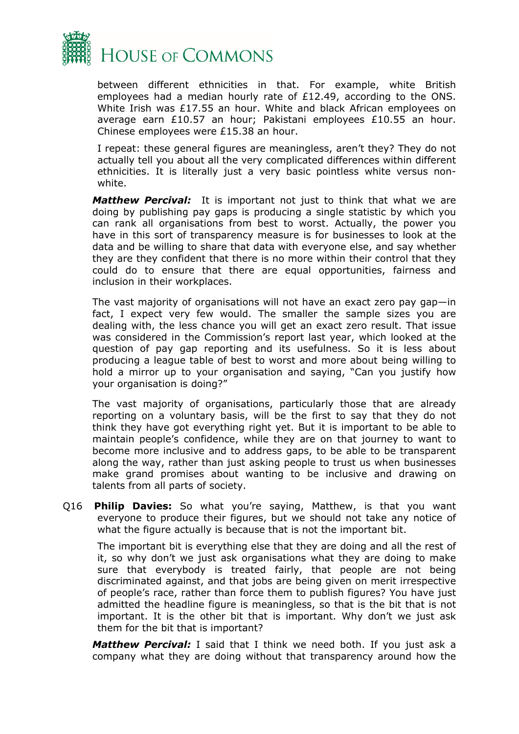

between different ethnicities in that. For example, white British employees had a median hourly rate of £12.49, according to the ONS. White Irish was £17.55 an hour. White and black African employees on average earn £10.57 an hour; Pakistani employees £10.55 an hour. Chinese employees were £15.38 an hour.

I repeat: these general figures are meaningless, aren't they? They do not actually tell you about all the very complicated differences within different ethnicities. It is literally just a very basic pointless white versus nonwhite.

*Matthew Percival:* It is important not just to think that what we are doing by publishing pay gaps is producing a single statistic by which you can rank all organisations from best to worst. Actually, the power you have in this sort of transparency measure is for businesses to look at the data and be willing to share that data with everyone else, and say whether they are they confident that there is no more within their control that they could do to ensure that there are equal opportunities, fairness and inclusion in their workplaces.

The vast majority of organisations will not have an exact zero pay gap—in fact, I expect very few would. The smaller the sample sizes you are dealing with, the less chance you will get an exact zero result. That issue was considered in the Commission's report last year, which looked at the question of pay gap reporting and its usefulness. So it is less about producing a league table of best to worst and more about being willing to hold a mirror up to your organisation and saying, "Can you justify how your organisation is doing?"

The vast majority of organisations, particularly those that are already reporting on a voluntary basis, will be the first to say that they do not think they have got everything right yet. But it is important to be able to maintain people's confidence, while they are on that journey to want to become more inclusive and to address gaps, to be able to be transparent along the way, rather than just asking people to trust us when businesses make grand promises about wanting to be inclusive and drawing on talents from all parts of society.

Q16 **Philip Davies:** So what you're saying, Matthew, is that you want everyone to produce their figures, but we should not take any notice of what the figure actually is because that is not the important bit.

The important bit is everything else that they are doing and all the rest of it, so why don't we just ask organisations what they are doing to make sure that everybody is treated fairly, that people are not being discriminated against, and that jobs are being given on merit irrespective of people's race, rather than force them to publish figures? You have just admitted the headline figure is meaningless, so that is the bit that is not important. It is the other bit that is important. Why don't we just ask them for the bit that is important?

*Matthew Percival:* I said that I think we need both. If you just ask a company what they are doing without that transparency around how the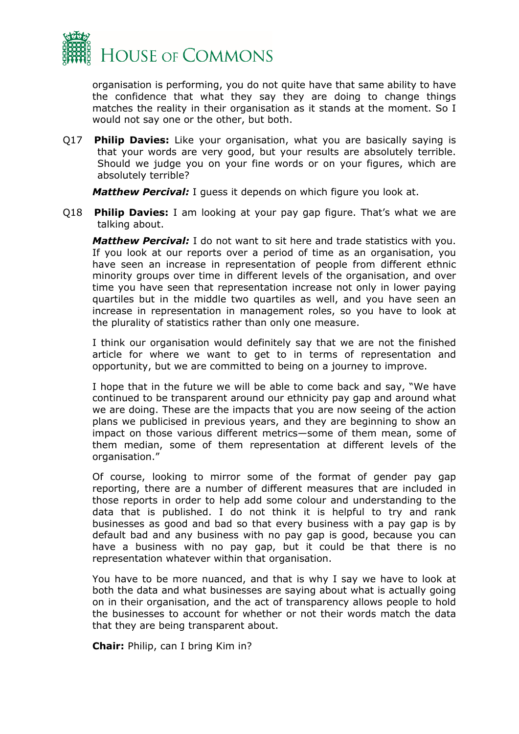

organisation is performing, you do not quite have that same ability to have the confidence that what they say they are doing to change things matches the reality in their organisation as it stands at the moment. So I would not say one or the other, but both.

Q17 **Philip Davies:** Like your organisation, what you are basically saying is that your words are very good, but your results are absolutely terrible. Should we judge you on your fine words or on your figures, which are absolutely terrible?

*Matthew Percival:* I guess it depends on which figure you look at.

Q18 **Philip Davies:** I am looking at your pay gap figure. That's what we are talking about.

*Matthew Percival:* I do not want to sit here and trade statistics with you. If you look at our reports over a period of time as an organisation, you have seen an increase in representation of people from different ethnic minority groups over time in different levels of the organisation, and over time you have seen that representation increase not only in lower paying quartiles but in the middle two quartiles as well, and you have seen an increase in representation in management roles, so you have to look at the plurality of statistics rather than only one measure.

I think our organisation would definitely say that we are not the finished article for where we want to get to in terms of representation and opportunity, but we are committed to being on a journey to improve.

I hope that in the future we will be able to come back and say, "We have continued to be transparent around our ethnicity pay gap and around what we are doing. These are the impacts that you are now seeing of the action plans we publicised in previous years, and they are beginning to show an impact on those various different metrics—some of them mean, some of them median, some of them representation at different levels of the organisation."

Of course, looking to mirror some of the format of gender pay gap reporting, there are a number of different measures that are included in those reports in order to help add some colour and understanding to the data that is published. I do not think it is helpful to try and rank businesses as good and bad so that every business with a pay gap is by default bad and any business with no pay gap is good, because you can have a business with no pay gap, but it could be that there is no representation whatever within that organisation.

You have to be more nuanced, and that is why I say we have to look at both the data and what businesses are saying about what is actually going on in their organisation, and the act of transparency allows people to hold the businesses to account for whether or not their words match the data that they are being transparent about.

**Chair:** Philip, can I bring Kim in?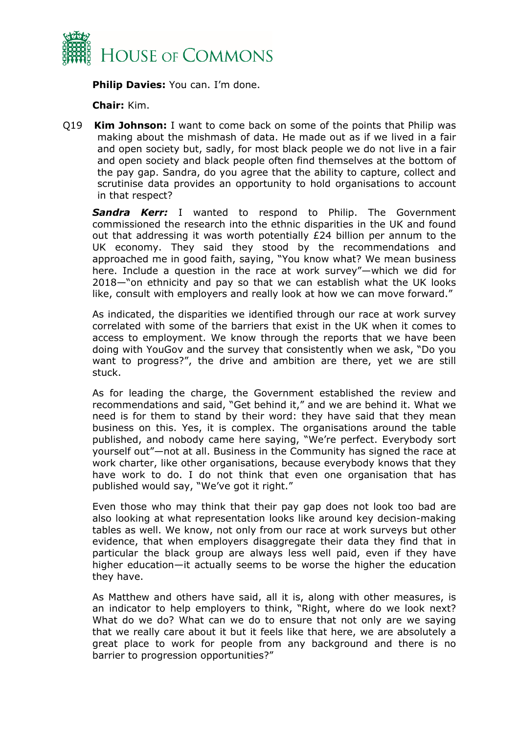

**Philip Davies:** You can. I'm done.

**Chair:** Kim.

Q19 **Kim Johnson:** I want to come back on some of the points that Philip was making about the mishmash of data. He made out as if we lived in a fair and open society but, sadly, for most black people we do not live in a fair and open society and black people often find themselves at the bottom of the pay gap. Sandra, do you agree that the ability to capture, collect and scrutinise data provides an opportunity to hold organisations to account in that respect?

*Sandra Kerr:* I wanted to respond to Philip. The Government commissioned the research into the ethnic disparities in the UK and found out that addressing it was worth potentially £24 billion per annum to the UK economy. They said they stood by the recommendations and approached me in good faith, saying, "You know what? We mean business here. Include a question in the race at work survey"—which we did for 2018—"on ethnicity and pay so that we can establish what the UK looks like, consult with employers and really look at how we can move forward."

As indicated, the disparities we identified through our race at work survey correlated with some of the barriers that exist in the UK when it comes to access to employment. We know through the reports that we have been doing with YouGov and the survey that consistently when we ask, "Do you want to progress?", the drive and ambition are there, yet we are still stuck.

As for leading the charge, the Government established the review and recommendations and said, "Get behind it," and we are behind it. What we need is for them to stand by their word: they have said that they mean business on this. Yes, it is complex. The organisations around the table published, and nobody came here saying, "We're perfect. Everybody sort yourself out"—not at all. Business in the Community has signed the race at work charter, like other organisations, because everybody knows that they have work to do. I do not think that even one organisation that has published would say, "We've got it right."

Even those who may think that their pay gap does not look too bad are also looking at what representation looks like around key decision-making tables as well. We know, not only from our race at work surveys but other evidence, that when employers disaggregate their data they find that in particular the black group are always less well paid, even if they have higher education—it actually seems to be worse the higher the education they have.

As Matthew and others have said, all it is, along with other measures, is an indicator to help employers to think, "Right, where do we look next? What do we do? What can we do to ensure that not only are we saying that we really care about it but it feels like that here, we are absolutely a great place to work for people from any background and there is no barrier to progression opportunities?"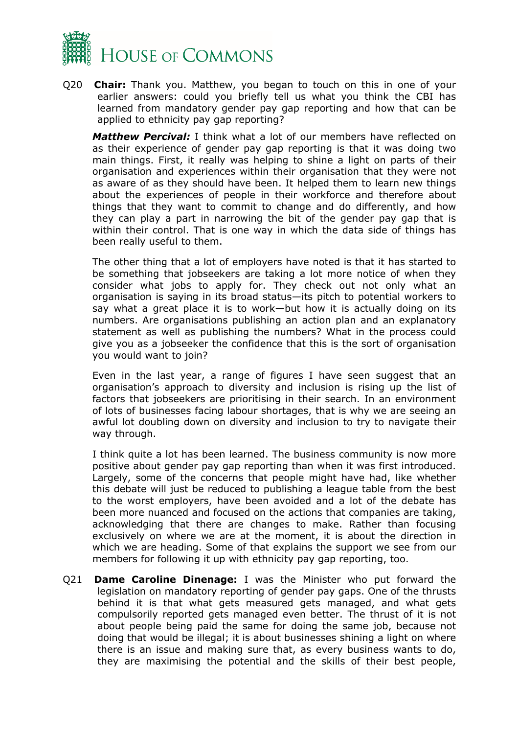

Q20 **Chair:** Thank you. Matthew, you began to touch on this in one of your earlier answers: could you briefly tell us what you think the CBI has learned from mandatory gender pay gap reporting and how that can be applied to ethnicity pay gap reporting?

*Matthew Percival:* I think what a lot of our members have reflected on as their experience of gender pay gap reporting is that it was doing two main things. First, it really was helping to shine a light on parts of their organisation and experiences within their organisation that they were not as aware of as they should have been. It helped them to learn new things about the experiences of people in their workforce and therefore about things that they want to commit to change and do differently, and how they can play a part in narrowing the bit of the gender pay gap that is within their control. That is one way in which the data side of things has been really useful to them.

The other thing that a lot of employers have noted is that it has started to be something that jobseekers are taking a lot more notice of when they consider what jobs to apply for. They check out not only what an organisation is saying in its broad status—its pitch to potential workers to say what a great place it is to work—but how it is actually doing on its numbers. Are organisations publishing an action plan and an explanatory statement as well as publishing the numbers? What in the process could give you as a jobseeker the confidence that this is the sort of organisation you would want to join?

Even in the last year, a range of figures I have seen suggest that an organisation's approach to diversity and inclusion is rising up the list of factors that jobseekers are prioritising in their search. In an environment of lots of businesses facing labour shortages, that is why we are seeing an awful lot doubling down on diversity and inclusion to try to navigate their way through.

I think quite a lot has been learned. The business community is now more positive about gender pay gap reporting than when it was first introduced. Largely, some of the concerns that people might have had, like whether this debate will just be reduced to publishing a league table from the best to the worst employers, have been avoided and a lot of the debate has been more nuanced and focused on the actions that companies are taking, acknowledging that there are changes to make. Rather than focusing exclusively on where we are at the moment, it is about the direction in which we are heading. Some of that explains the support we see from our members for following it up with ethnicity pay gap reporting, too.

Q21 **Dame Caroline Dinenage:** I was the Minister who put forward the legislation on mandatory reporting of gender pay gaps. One of the thrusts behind it is that what gets measured gets managed, and what gets compulsorily reported gets managed even better. The thrust of it is not about people being paid the same for doing the same job, because not doing that would be illegal; it is about businesses shining a light on where there is an issue and making sure that, as every business wants to do, they are maximising the potential and the skills of their best people,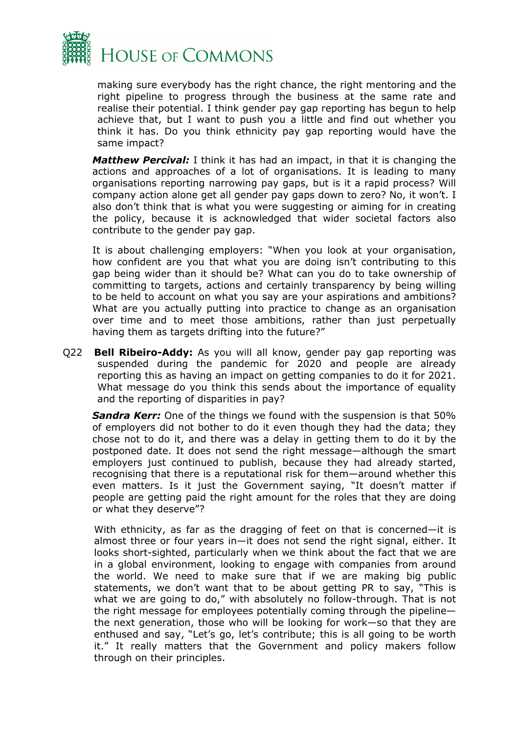

making sure everybody has the right chance, the right mentoring and the right pipeline to progress through the business at the same rate and realise their potential. I think gender pay gap reporting has begun to help achieve that, but I want to push you a little and find out whether you think it has. Do you think ethnicity pay gap reporting would have the same impact?

*Matthew Percival:* I think it has had an impact, in that it is changing the actions and approaches of a lot of organisations. It is leading to many organisations reporting narrowing pay gaps, but is it a rapid process? Will company action alone get all gender pay gaps down to zero? No, it won't. I also don't think that is what you were suggesting or aiming for in creating the policy, because it is acknowledged that wider societal factors also contribute to the gender pay gap.

It is about challenging employers: "When you look at your organisation, how confident are you that what you are doing isn't contributing to this gap being wider than it should be? What can you do to take ownership of committing to targets, actions and certainly transparency by being willing to be held to account on what you say are your aspirations and ambitions? What are you actually putting into practice to change as an organisation over time and to meet those ambitions, rather than just perpetually having them as targets drifting into the future?"

Q22 **Bell Ribeiro-Addy:** As you will all know, gender pay gap reporting was suspended during the pandemic for 2020 and people are already reporting this as having an impact on getting companies to do it for 2021. What message do you think this sends about the importance of equality and the reporting of disparities in pay?

*Sandra Kerr:* One of the things we found with the suspension is that 50% of employers did not bother to do it even though they had the data; they chose not to do it, and there was a delay in getting them to do it by the postponed date. It does not send the right message—although the smart employers just continued to publish, because they had already started, recognising that there is a reputational risk for them—around whether this even matters. Is it just the Government saying, "It doesn't matter if people are getting paid the right amount for the roles that they are doing or what they deserve"?

With ethnicity, as far as the dragging of feet on that is concerned—it is almost three or four years in—it does not send the right signal, either. It looks short-sighted, particularly when we think about the fact that we are in a global environment, looking to engage with companies from around the world. We need to make sure that if we are making big public statements, we don't want that to be about getting PR to say, "This is what we are going to do," with absolutely no follow-through. That is not the right message for employees potentially coming through the pipeline the next generation, those who will be looking for work—so that they are enthused and say, "Let's go, let's contribute; this is all going to be worth it." It really matters that the Government and policy makers follow through on their principles.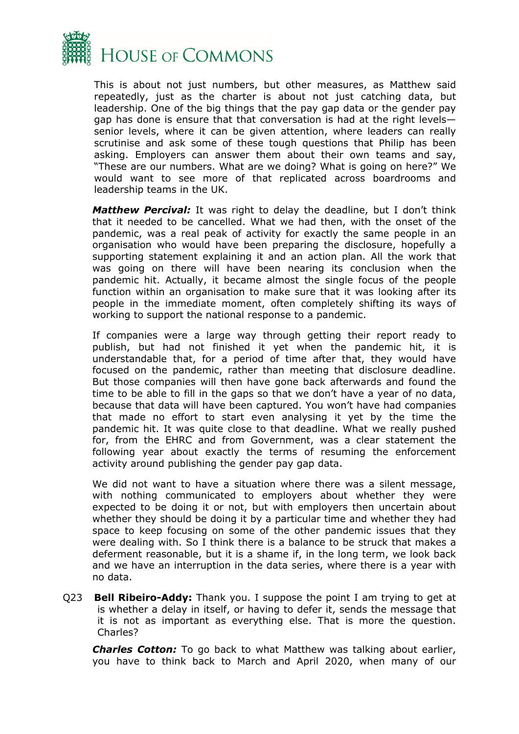

This is about not just numbers, but other measures, as Matthew said repeatedly, just as the charter is about not just catching data, but leadership. One of the big things that the pay gap data or the gender pay gap has done is ensure that that conversation is had at the right levels senior levels, where it can be given attention, where leaders can really scrutinise and ask some of these tough questions that Philip has been asking. Employers can answer them about their own teams and say, "These are our numbers. What are we doing? What is going on here?" We would want to see more of that replicated across boardrooms and leadership teams in the UK.

*Matthew Percival:* It was right to delay the deadline, but I don't think that it needed to be cancelled. What we had then, with the onset of the pandemic, was a real peak of activity for exactly the same people in an organisation who would have been preparing the disclosure, hopefully a supporting statement explaining it and an action plan. All the work that was going on there will have been nearing its conclusion when the pandemic hit. Actually, it became almost the single focus of the people function within an organisation to make sure that it was looking after its people in the immediate moment, often completely shifting its ways of working to support the national response to a pandemic.

If companies were a large way through getting their report ready to publish, but had not finished it yet when the pandemic hit, it is understandable that, for a period of time after that, they would have focused on the pandemic, rather than meeting that disclosure deadline. But those companies will then have gone back afterwards and found the time to be able to fill in the gaps so that we don't have a year of no data, because that data will have been captured. You won't have had companies that made no effort to start even analysing it yet by the time the pandemic hit. It was quite close to that deadline. What we really pushed for, from the EHRC and from Government, was a clear statement the following year about exactly the terms of resuming the enforcement activity around publishing the gender pay gap data.

We did not want to have a situation where there was a silent message, with nothing communicated to employers about whether they were expected to be doing it or not, but with employers then uncertain about whether they should be doing it by a particular time and whether they had space to keep focusing on some of the other pandemic issues that they were dealing with. So I think there is a balance to be struck that makes a deferment reasonable, but it is a shame if, in the long term, we look back and we have an interruption in the data series, where there is a year with no data.

Q23 **Bell Ribeiro-Addy:** Thank you. I suppose the point I am trying to get at is whether a delay in itself, or having to defer it, sends the message that it is not as important as everything else. That is more the question. Charles?

*Charles Cotton:* To go back to what Matthew was talking about earlier, you have to think back to March and April 2020, when many of our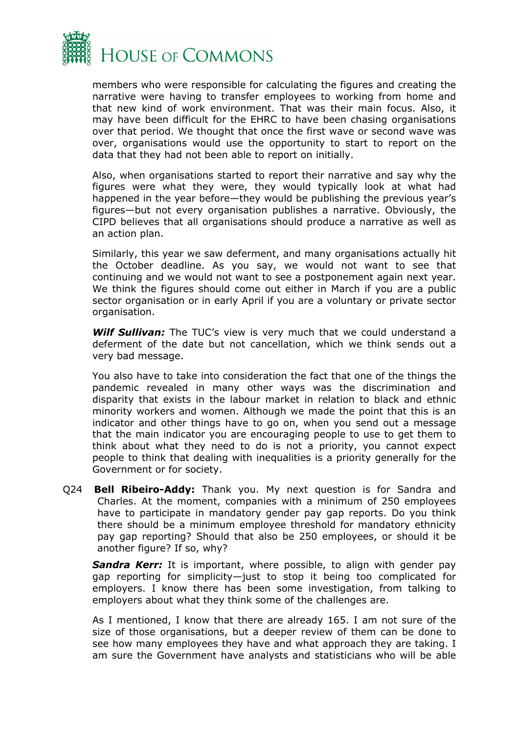

members who were responsible for calculating the figures and creating the narrative were having to transfer employees to working from home and that new kind of work environment. That was their main focus. Also, it may have been difficult for the EHRC to have been chasing organisations over that period. We thought that once the first wave or second wave was over, organisations would use the opportunity to start to report on the data that they had not been able to report on initially.

Also, when organisations started to report their narrative and say why the figures were what they were, they would typically look at what had happened in the year before—they would be publishing the previous year's figures—but not every organisation publishes a narrative. Obviously, the CIPD believes that all organisations should produce a narrative as well as an action plan.

Similarly, this year we saw deferment, and many organisations actually hit the October deadline. As you say, we would not want to see that continuing and we would not want to see a postponement again next year. We think the figures should come out either in March if you are a public sector organisation or in early April if you are a voluntary or private sector organisation.

*Wilf Sullivan:* The TUC's view is very much that we could understand a deferment of the date but not cancellation, which we think sends out a very bad message.

You also have to take into consideration the fact that one of the things the pandemic revealed in many other ways was the discrimination and disparity that exists in the labour market in relation to black and ethnic minority workers and women. Although we made the point that this is an indicator and other things have to go on, when you send out a message that the main indicator you are encouraging people to use to get them to think about what they need to do is not a priority, you cannot expect people to think that dealing with inequalities is a priority generally for the Government or for society.

Q24 **Bell Ribeiro-Addy:** Thank you. My next question is for Sandra and Charles. At the moment, companies with a minimum of 250 employees have to participate in mandatory gender pay gap reports. Do you think there should be a minimum employee threshold for mandatory ethnicity pay gap reporting? Should that also be 250 employees, or should it be another figure? If so, why?

**Sandra Kerr:** It is important, where possible, to align with gender pay gap reporting for simplicity—just to stop it being too complicated for employers. I know there has been some investigation, from talking to employers about what they think some of the challenges are.

As I mentioned, I know that there are already 165. I am not sure of the size of those organisations, but a deeper review of them can be done to see how many employees they have and what approach they are taking. I am sure the Government have analysts and statisticians who will be able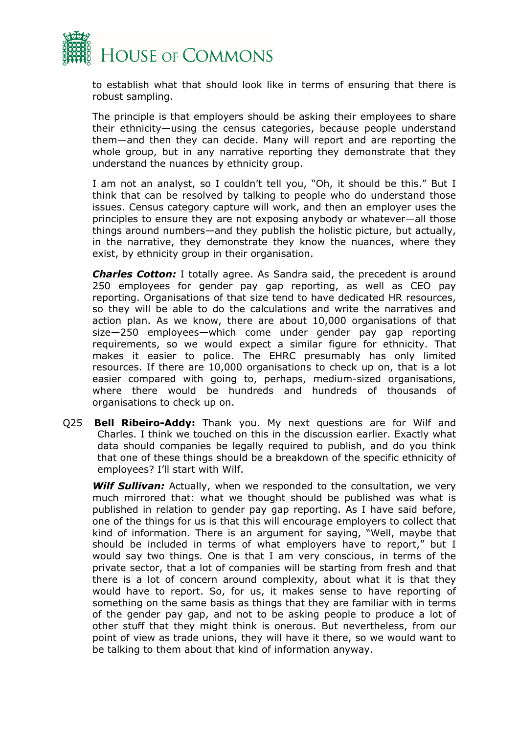

to establish what that should look like in terms of ensuring that there is robust sampling.

The principle is that employers should be asking their employees to share their ethnicity—using the census categories, because people understand them—and then they can decide. Many will report and are reporting the whole group, but in any narrative reporting they demonstrate that they understand the nuances by ethnicity group.

I am not an analyst, so I couldn't tell you, "Oh, it should be this." But I think that can be resolved by talking to people who do understand those issues. Census category capture will work, and then an employer uses the principles to ensure they are not exposing anybody or whatever—all those things around numbers—and they publish the holistic picture, but actually, in the narrative, they demonstrate they know the nuances, where they exist, by ethnicity group in their organisation.

*Charles Cotton:* I totally agree. As Sandra said, the precedent is around 250 employees for gender pay gap reporting, as well as CEO pay reporting. Organisations of that size tend to have dedicated HR resources, so they will be able to do the calculations and write the narratives and action plan. As we know, there are about 10,000 organisations of that size—250 employees—which come under gender pay gap reporting requirements, so we would expect a similar figure for ethnicity. That makes it easier to police. The EHRC presumably has only limited resources. If there are 10,000 organisations to check up on, that is a lot easier compared with going to, perhaps, medium-sized organisations, where there would be hundreds and hundreds of thousands of organisations to check up on.

Q25 **Bell Ribeiro-Addy:** Thank you. My next questions are for Wilf and Charles. I think we touched on this in the discussion earlier. Exactly what data should companies be legally required to publish, and do you think that one of these things should be a breakdown of the specific ethnicity of employees? I'll start with Wilf.

*Wilf Sullivan:* Actually, when we responded to the consultation, we very much mirrored that: what we thought should be published was what is published in relation to gender pay gap reporting. As I have said before, one of the things for us is that this will encourage employers to collect that kind of information. There is an argument for saying, "Well, maybe that should be included in terms of what employers have to report," but I would say two things. One is that I am very conscious, in terms of the private sector, that a lot of companies will be starting from fresh and that there is a lot of concern around complexity, about what it is that they would have to report. So, for us, it makes sense to have reporting of something on the same basis as things that they are familiar with in terms of the gender pay gap, and not to be asking people to produce a lot of other stuff that they might think is onerous. But nevertheless, from our point of view as trade unions, they will have it there, so we would want to be talking to them about that kind of information anyway.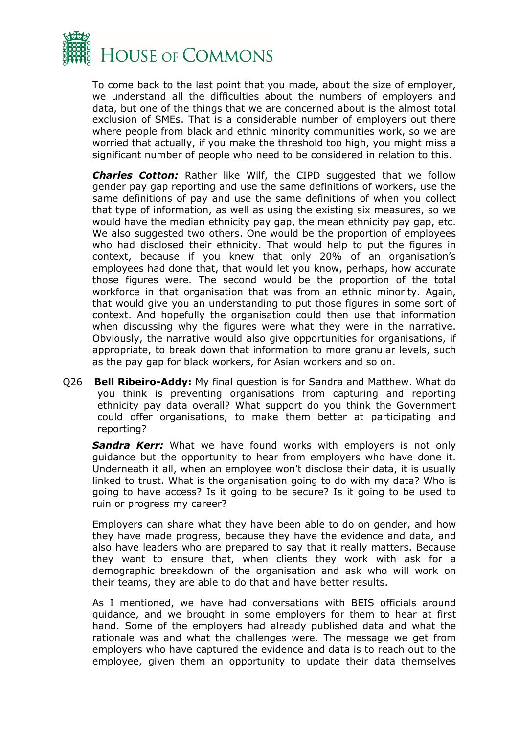

To come back to the last point that you made, about the size of employer, we understand all the difficulties about the numbers of employers and data, but one of the things that we are concerned about is the almost total exclusion of SMEs. That is a considerable number of employers out there where people from black and ethnic minority communities work, so we are worried that actually, if you make the threshold too high, you might miss a significant number of people who need to be considered in relation to this.

*Charles Cotton:* Rather like Wilf, the CIPD suggested that we follow gender pay gap reporting and use the same definitions of workers, use the same definitions of pay and use the same definitions of when you collect that type of information, as well as using the existing six measures, so we would have the median ethnicity pay gap, the mean ethnicity pay gap, etc. We also suggested two others. One would be the proportion of employees who had disclosed their ethnicity. That would help to put the figures in context, because if you knew that only 20% of an organisation's employees had done that, that would let you know, perhaps, how accurate those figures were. The second would be the proportion of the total workforce in that organisation that was from an ethnic minority. Again, that would give you an understanding to put those figures in some sort of context. And hopefully the organisation could then use that information when discussing why the figures were what they were in the narrative. Obviously, the narrative would also give opportunities for organisations, if appropriate, to break down that information to more granular levels, such as the pay gap for black workers, for Asian workers and so on.

Q26 **Bell Ribeiro-Addy:** My final question is for Sandra and Matthew. What do you think is preventing organisations from capturing and reporting ethnicity pay data overall? What support do you think the Government could offer organisations, to make them better at participating and reporting?

**Sandra Kerr:** What we have found works with employers is not only guidance but the opportunity to hear from employers who have done it. Underneath it all, when an employee won't disclose their data, it is usually linked to trust. What is the organisation going to do with my data? Who is going to have access? Is it going to be secure? Is it going to be used to ruin or progress my career?

Employers can share what they have been able to do on gender, and how they have made progress, because they have the evidence and data, and also have leaders who are prepared to say that it really matters. Because they want to ensure that, when clients they work with ask for a demographic breakdown of the organisation and ask who will work on their teams, they are able to do that and have better results.

As I mentioned, we have had conversations with BEIS officials around guidance, and we brought in some employers for them to hear at first hand. Some of the employers had already published data and what the rationale was and what the challenges were. The message we get from employers who have captured the evidence and data is to reach out to the employee, given them an opportunity to update their data themselves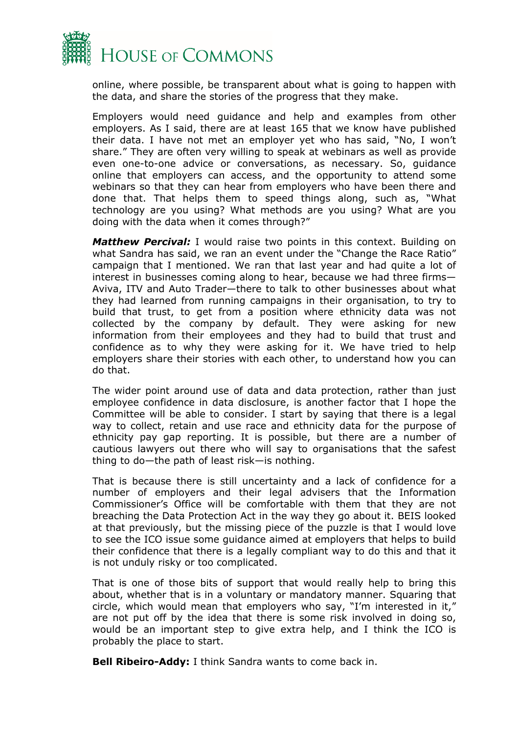

online, where possible, be transparent about what is going to happen with the data, and share the stories of the progress that they make.

Employers would need guidance and help and examples from other employers. As I said, there are at least 165 that we know have published their data. I have not met an employer yet who has said, "No, I won't share." They are often very willing to speak at webinars as well as provide even one-to-one advice or conversations, as necessary. So, guidance online that employers can access, and the opportunity to attend some webinars so that they can hear from employers who have been there and done that. That helps them to speed things along, such as, "What technology are you using? What methods are you using? What are you doing with the data when it comes through?"

*Matthew Percival:* I would raise two points in this context. Building on what Sandra has said, we ran an event under the "Change the Race Ratio" campaign that I mentioned. We ran that last year and had quite a lot of interest in businesses coming along to hear, because we had three firms— Aviva, ITV and Auto Trader—there to talk to other businesses about what they had learned from running campaigns in their organisation, to try to build that trust, to get from a position where ethnicity data was not collected by the company by default. They were asking for new information from their employees and they had to build that trust and confidence as to why they were asking for it. We have tried to help employers share their stories with each other, to understand how you can do that.

The wider point around use of data and data protection, rather than just employee confidence in data disclosure, is another factor that I hope the Committee will be able to consider. I start by saying that there is a legal way to collect, retain and use race and ethnicity data for the purpose of ethnicity pay gap reporting. It is possible, but there are a number of cautious lawyers out there who will say to organisations that the safest thing to do—the path of least risk—is nothing.

That is because there is still uncertainty and a lack of confidence for a number of employers and their legal advisers that the Information Commissioner's Office will be comfortable with them that they are not breaching the Data Protection Act in the way they go about it. BEIS looked at that previously, but the missing piece of the puzzle is that I would love to see the ICO issue some guidance aimed at employers that helps to build their confidence that there is a legally compliant way to do this and that it is not unduly risky or too complicated.

That is one of those bits of support that would really help to bring this about, whether that is in a voluntary or mandatory manner. Squaring that circle, which would mean that employers who say, "I'm interested in it," are not put off by the idea that there is some risk involved in doing so, would be an important step to give extra help, and I think the ICO is probably the place to start.

**Bell Ribeiro-Addy:** I think Sandra wants to come back in.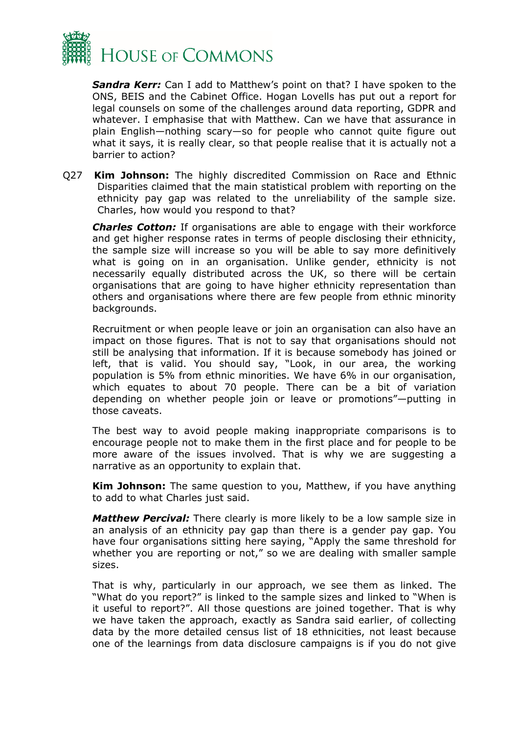

*Sandra Kerr:* Can I add to Matthew's point on that? I have spoken to the ONS, BEIS and the Cabinet Office. Hogan Lovells has put out a report for legal counsels on some of the challenges around data reporting, GDPR and whatever. I emphasise that with Matthew. Can we have that assurance in plain English—nothing scary—so for people who cannot quite figure out what it says, it is really clear, so that people realise that it is actually not a barrier to action?

Q27 **Kim Johnson:** The highly discredited Commission on Race and Ethnic Disparities claimed that the main statistical problem with reporting on the ethnicity pay gap was related to the unreliability of the sample size. Charles, how would you respond to that?

*Charles Cotton:* If organisations are able to engage with their workforce and get higher response rates in terms of people disclosing their ethnicity, the sample size will increase so you will be able to say more definitively what is going on in an organisation. Unlike gender, ethnicity is not necessarily equally distributed across the UK, so there will be certain organisations that are going to have higher ethnicity representation than others and organisations where there are few people from ethnic minority backgrounds.

Recruitment or when people leave or join an organisation can also have an impact on those figures. That is not to say that organisations should not still be analysing that information. If it is because somebody has joined or left, that is valid. You should say, "Look, in our area, the working population is 5% from ethnic minorities. We have 6% in our organisation, which equates to about 70 people. There can be a bit of variation depending on whether people join or leave or promotions"—putting in those caveats.

The best way to avoid people making inappropriate comparisons is to encourage people not to make them in the first place and for people to be more aware of the issues involved. That is why we are suggesting a narrative as an opportunity to explain that.

**Kim Johnson:** The same question to you, Matthew, if you have anything to add to what Charles just said.

*Matthew Percival:* There clearly is more likely to be a low sample size in an analysis of an ethnicity pay gap than there is a gender pay gap. You have four organisations sitting here saying, "Apply the same threshold for whether you are reporting or not," so we are dealing with smaller sample sizes.

That is why, particularly in our approach, we see them as linked. The "What do you report?" is linked to the sample sizes and linked to "When is it useful to report?". All those questions are joined together. That is why we have taken the approach, exactly as Sandra said earlier, of collecting data by the more detailed census list of 18 ethnicities, not least because one of the learnings from data disclosure campaigns is if you do not give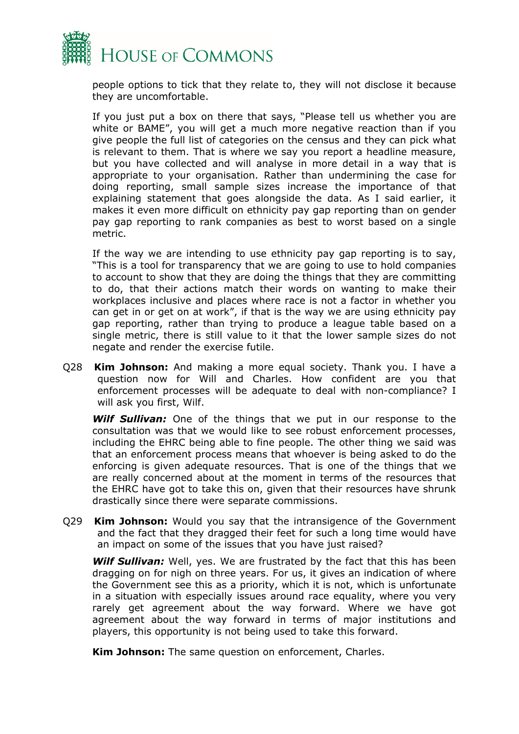

people options to tick that they relate to, they will not disclose it because they are uncomfortable.

If you just put a box on there that says, "Please tell us whether you are white or BAME", you will get a much more negative reaction than if you give people the full list of categories on the census and they can pick what is relevant to them. That is where we say you report a headline measure, but you have collected and will analyse in more detail in a way that is appropriate to your organisation. Rather than undermining the case for doing reporting, small sample sizes increase the importance of that explaining statement that goes alongside the data. As I said earlier, it makes it even more difficult on ethnicity pay gap reporting than on gender pay gap reporting to rank companies as best to worst based on a single metric.

If the way we are intending to use ethnicity pay gap reporting is to say, "This is a tool for transparency that we are going to use to hold companies to account to show that they are doing the things that they are committing to do, that their actions match their words on wanting to make their workplaces inclusive and places where race is not a factor in whether you can get in or get on at work", if that is the way we are using ethnicity pay gap reporting, rather than trying to produce a league table based on a single metric, there is still value to it that the lower sample sizes do not negate and render the exercise futile.

Q28 **Kim Johnson:** And making a more equal society. Thank you. I have a question now for Will and Charles. How confident are you that enforcement processes will be adequate to deal with non-compliance? I will ask you first, Wilf.

*Wilf Sullivan:* One of the things that we put in our response to the consultation was that we would like to see robust enforcement processes, including the EHRC being able to fine people. The other thing we said was that an enforcement process means that whoever is being asked to do the enforcing is given adequate resources. That is one of the things that we are really concerned about at the moment in terms of the resources that the EHRC have got to take this on, given that their resources have shrunk drastically since there were separate commissions.

Q29 **Kim Johnson:** Would you say that the intransigence of the Government and the fact that they dragged their feet for such a long time would have an impact on some of the issues that you have just raised?

*Wilf Sullivan:* Well, yes. We are frustrated by the fact that this has been dragging on for nigh on three years. For us, it gives an indication of where the Government see this as a priority, which it is not, which is unfortunate in a situation with especially issues around race equality, where you very rarely get agreement about the way forward. Where we have got agreement about the way forward in terms of major institutions and players, this opportunity is not being used to take this forward.

**Kim Johnson:** The same question on enforcement, Charles.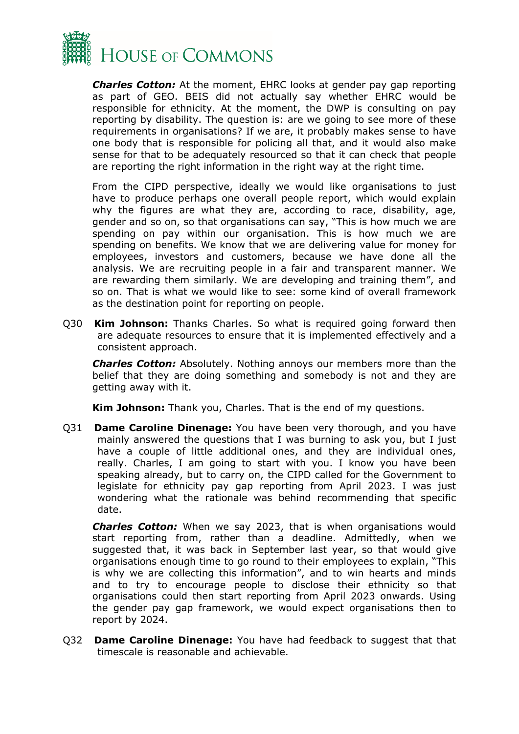

*Charles Cotton:* At the moment, EHRC looks at gender pay gap reporting as part of GEO. BEIS did not actually say whether EHRC would be responsible for ethnicity. At the moment, the DWP is consulting on pay reporting by disability. The question is: are we going to see more of these requirements in organisations? If we are, it probably makes sense to have one body that is responsible for policing all that, and it would also make sense for that to be adequately resourced so that it can check that people are reporting the right information in the right way at the right time.

From the CIPD perspective, ideally we would like organisations to just have to produce perhaps one overall people report, which would explain why the figures are what they are, according to race, disability, age, gender and so on, so that organisations can say, "This is how much we are spending on pay within our organisation. This is how much we are spending on benefits. We know that we are delivering value for money for employees, investors and customers, because we have done all the analysis. We are recruiting people in a fair and transparent manner. We are rewarding them similarly. We are developing and training them", and so on. That is what we would like to see: some kind of overall framework as the destination point for reporting on people.

Q30 **Kim Johnson:** Thanks Charles. So what is required going forward then are adequate resources to ensure that it is implemented effectively and a consistent approach.

*Charles Cotton:* Absolutely. Nothing annoys our members more than the belief that they are doing something and somebody is not and they are getting away with it.

**Kim Johnson:** Thank you, Charles. That is the end of my questions.

Q31 **Dame Caroline Dinenage:** You have been very thorough, and you have mainly answered the questions that I was burning to ask you, but I just have a couple of little additional ones, and they are individual ones, really. Charles, I am going to start with you. I know you have been speaking already, but to carry on, the CIPD called for the Government to legislate for ethnicity pay gap reporting from April 2023. I was just wondering what the rationale was behind recommending that specific date.

*Charles Cotton:* When we say 2023, that is when organisations would start reporting from, rather than a deadline. Admittedly, when we suggested that, it was back in September last year, so that would give organisations enough time to go round to their employees to explain, "This is why we are collecting this information", and to win hearts and minds and to try to encourage people to disclose their ethnicity so that organisations could then start reporting from April 2023 onwards. Using the gender pay gap framework, we would expect organisations then to report by 2024.

Q32 **Dame Caroline Dinenage:** You have had feedback to suggest that that timescale is reasonable and achievable.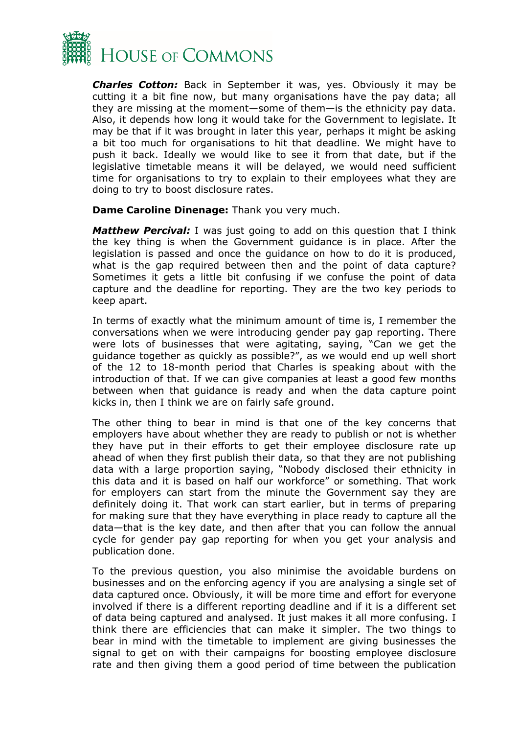

*Charles Cotton:* Back in September it was, yes. Obviously it may be cutting it a bit fine now, but many organisations have the pay data; all they are missing at the moment—some of them—is the ethnicity pay data. Also, it depends how long it would take for the Government to legislate. It may be that if it was brought in later this year, perhaps it might be asking a bit too much for organisations to hit that deadline. We might have to push it back. Ideally we would like to see it from that date, but if the legislative timetable means it will be delayed, we would need sufficient time for organisations to try to explain to their employees what they are doing to try to boost disclosure rates.

**Dame Caroline Dinenage:** Thank you very much.

*Matthew Percival:* I was just going to add on this question that I think the key thing is when the Government guidance is in place. After the legislation is passed and once the guidance on how to do it is produced, what is the gap required between then and the point of data capture? Sometimes it gets a little bit confusing if we confuse the point of data capture and the deadline for reporting. They are the two key periods to keep apart.

In terms of exactly what the minimum amount of time is, I remember the conversations when we were introducing gender pay gap reporting. There were lots of businesses that were agitating, saying, "Can we get the guidance together as quickly as possible?", as we would end up well short of the 12 to 18-month period that Charles is speaking about with the introduction of that. If we can give companies at least a good few months between when that guidance is ready and when the data capture point kicks in, then I think we are on fairly safe ground.

The other thing to bear in mind is that one of the key concerns that employers have about whether they are ready to publish or not is whether they have put in their efforts to get their employee disclosure rate up ahead of when they first publish their data, so that they are not publishing data with a large proportion saying, "Nobody disclosed their ethnicity in this data and it is based on half our workforce" or something. That work for employers can start from the minute the Government say they are definitely doing it. That work can start earlier, but in terms of preparing for making sure that they have everything in place ready to capture all the data—that is the key date, and then after that you can follow the annual cycle for gender pay gap reporting for when you get your analysis and publication done.

To the previous question, you also minimise the avoidable burdens on businesses and on the enforcing agency if you are analysing a single set of data captured once. Obviously, it will be more time and effort for everyone involved if there is a different reporting deadline and if it is a different set of data being captured and analysed. It just makes it all more confusing. I think there are efficiencies that can make it simpler. The two things to bear in mind with the timetable to implement are giving businesses the signal to get on with their campaigns for boosting employee disclosure rate and then giving them a good period of time between the publication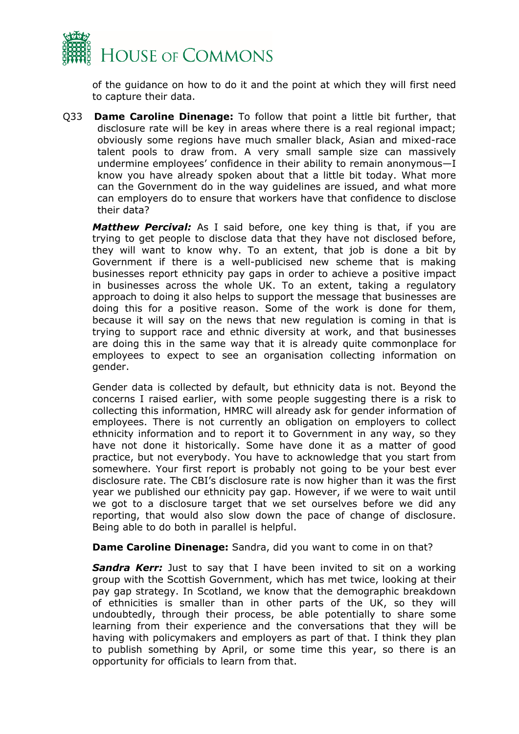

of the guidance on how to do it and the point at which they will first need to capture their data.

Q33 **Dame Caroline Dinenage:** To follow that point a little bit further, that disclosure rate will be key in areas where there is a real regional impact; obviously some regions have much smaller black, Asian and mixed-race talent pools to draw from. A very small sample size can massively undermine employees' confidence in their ability to remain anonymous—I know you have already spoken about that a little bit today. What more can the Government do in the way guidelines are issued, and what more can employers do to ensure that workers have that confidence to disclose their data?

*Matthew Percival:* As I said before, one key thing is that, if you are trying to get people to disclose data that they have not disclosed before, they will want to know why. To an extent, that job is done a bit by Government if there is a well-publicised new scheme that is making businesses report ethnicity pay gaps in order to achieve a positive impact in businesses across the whole UK. To an extent, taking a regulatory approach to doing it also helps to support the message that businesses are doing this for a positive reason. Some of the work is done for them, because it will say on the news that new regulation is coming in that is trying to support race and ethnic diversity at work, and that businesses are doing this in the same way that it is already quite commonplace for employees to expect to see an organisation collecting information on gender.

Gender data is collected by default, but ethnicity data is not. Beyond the concerns I raised earlier, with some people suggesting there is a risk to collecting this information, HMRC will already ask for gender information of employees. There is not currently an obligation on employers to collect ethnicity information and to report it to Government in any way, so they have not done it historically. Some have done it as a matter of good practice, but not everybody. You have to acknowledge that you start from somewhere. Your first report is probably not going to be your best ever disclosure rate. The CBI's disclosure rate is now higher than it was the first year we published our ethnicity pay gap. However, if we were to wait until we got to a disclosure target that we set ourselves before we did any reporting, that would also slow down the pace of change of disclosure. Being able to do both in parallel is helpful.

**Dame Caroline Dinenage:** Sandra, did you want to come in on that?

*Sandra Kerr:* Just to say that I have been invited to sit on a working group with the Scottish Government, which has met twice, looking at their pay gap strategy. In Scotland, we know that the demographic breakdown of ethnicities is smaller than in other parts of the UK, so they will undoubtedly, through their process, be able potentially to share some learning from their experience and the conversations that they will be having with policymakers and employers as part of that. I think they plan to publish something by April, or some time this year, so there is an opportunity for officials to learn from that.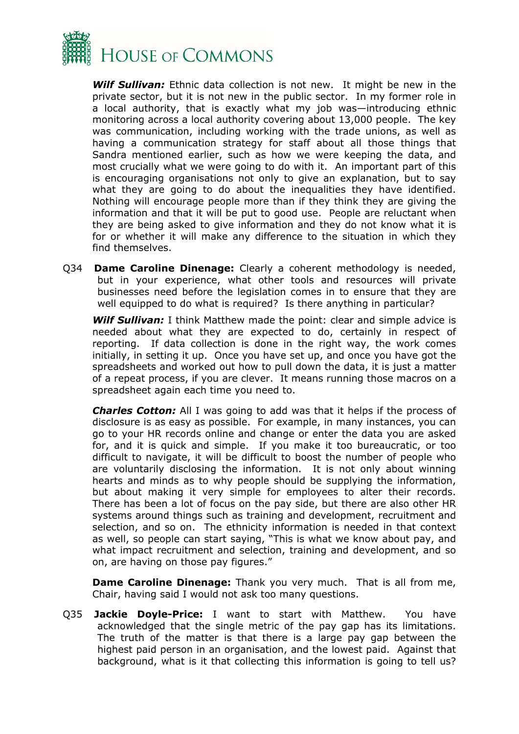

*Wilf Sullivan:* Ethnic data collection is not new. It might be new in the private sector, but it is not new in the public sector. In my former role in a local authority, that is exactly what my job was—introducing ethnic monitoring across a local authority covering about 13,000 people. The key was communication, including working with the trade unions, as well as having a communication strategy for staff about all those things that Sandra mentioned earlier, such as how we were keeping the data, and most crucially what we were going to do with it. An important part of this is encouraging organisations not only to give an explanation, but to say what they are going to do about the inequalities they have identified. Nothing will encourage people more than if they think they are giving the information and that it will be put to good use. People are reluctant when they are being asked to give information and they do not know what it is for or whether it will make any difference to the situation in which they find themselves.

Q34 **Dame Caroline Dinenage:** Clearly a coherent methodology is needed, but in your experience, what other tools and resources will private businesses need before the legislation comes in to ensure that they are well equipped to do what is required? Is there anything in particular?

*Wilf Sullivan:* I think Matthew made the point: clear and simple advice is needed about what they are expected to do, certainly in respect of reporting. If data collection is done in the right way, the work comes initially, in setting it up. Once you have set up, and once you have got the spreadsheets and worked out how to pull down the data, it is just a matter of a repeat process, if you are clever. It means running those macros on a spreadsheet again each time you need to.

*Charles Cotton:* All I was going to add was that it helps if the process of disclosure is as easy as possible. For example, in many instances, you can go to your HR records online and change or enter the data you are asked for, and it is quick and simple. If you make it too bureaucratic, or too difficult to navigate, it will be difficult to boost the number of people who are voluntarily disclosing the information. It is not only about winning hearts and minds as to why people should be supplying the information, but about making it very simple for employees to alter their records. There has been a lot of focus on the pay side, but there are also other HR systems around things such as training and development, recruitment and selection, and so on. The ethnicity information is needed in that context as well, so people can start saying, "This is what we know about pay, and what impact recruitment and selection, training and development, and so on, are having on those pay figures."

**Dame Caroline Dinenage:** Thank you very much. That is all from me, Chair, having said I would not ask too many questions.

Q35 **Jackie Doyle-Price:** I want to start with Matthew. You have acknowledged that the single metric of the pay gap has its limitations. The truth of the matter is that there is a large pay gap between the highest paid person in an organisation, and the lowest paid. Against that background, what is it that collecting this information is going to tell us?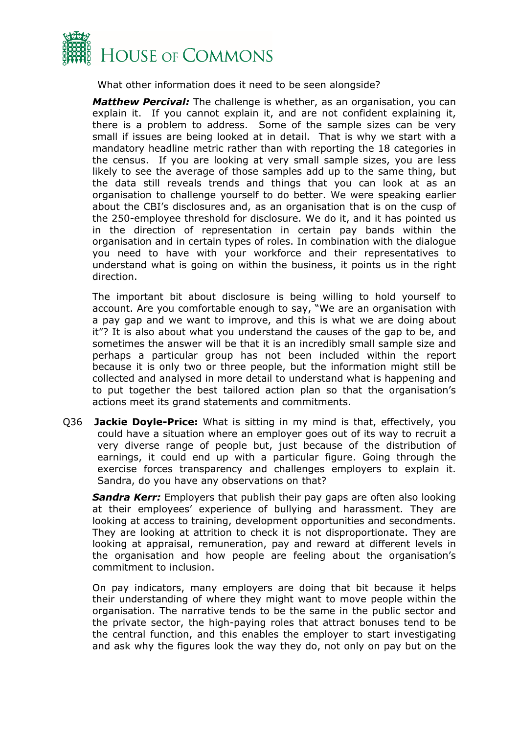

What other information does it need to be seen alongside?

*Matthew Percival:* The challenge is whether, as an organisation, you can explain it. If you cannot explain it, and are not confident explaining it, there is a problem to address. Some of the sample sizes can be very small if issues are being looked at in detail. That is why we start with a mandatory headline metric rather than with reporting the 18 categories in the census. If you are looking at very small sample sizes, you are less likely to see the average of those samples add up to the same thing, but the data still reveals trends and things that you can look at as an organisation to challenge yourself to do better. We were speaking earlier about the CBI's disclosures and, as an organisation that is on the cusp of the 250-employee threshold for disclosure. We do it, and it has pointed us in the direction of representation in certain pay bands within the organisation and in certain types of roles. In combination with the dialogue you need to have with your workforce and their representatives to understand what is going on within the business, it points us in the right direction.

The important bit about disclosure is being willing to hold yourself to account. Are you comfortable enough to say, "We are an organisation with a pay gap and we want to improve, and this is what we are doing about it"? It is also about what you understand the causes of the gap to be, and sometimes the answer will be that it is an incredibly small sample size and perhaps a particular group has not been included within the report because it is only two or three people, but the information might still be collected and analysed in more detail to understand what is happening and to put together the best tailored action plan so that the organisation's actions meet its grand statements and commitments.

Q36 **Jackie Doyle-Price:** What is sitting in my mind is that, effectively, you could have a situation where an employer goes out of its way to recruit a very diverse range of people but, just because of the distribution of earnings, it could end up with a particular figure. Going through the exercise forces transparency and challenges employers to explain it. Sandra, do you have any observations on that?

*Sandra Kerr:* Employers that publish their pay gaps are often also looking at their employees' experience of bullying and harassment. They are looking at access to training, development opportunities and secondments. They are looking at attrition to check it is not disproportionate. They are looking at appraisal, remuneration, pay and reward at different levels in the organisation and how people are feeling about the organisation's commitment to inclusion.

On pay indicators, many employers are doing that bit because it helps their understanding of where they might want to move people within the organisation. The narrative tends to be the same in the public sector and the private sector, the high-paying roles that attract bonuses tend to be the central function, and this enables the employer to start investigating and ask why the figures look the way they do, not only on pay but on the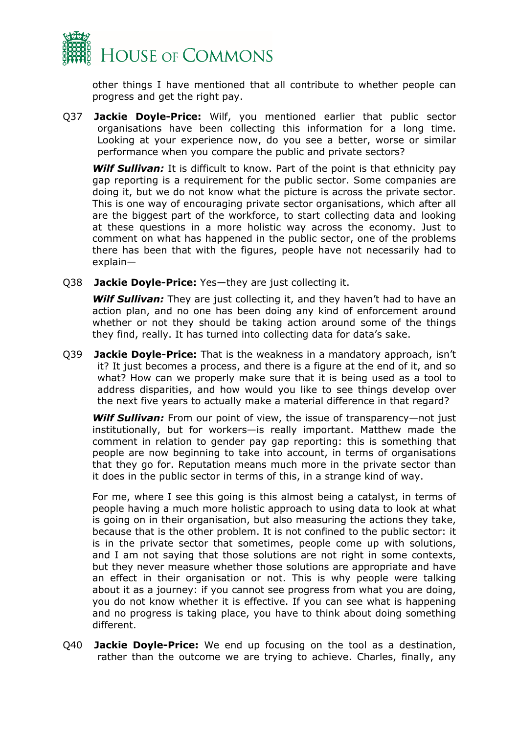

other things I have mentioned that all contribute to whether people can progress and get the right pay.

Q37 **Jackie Doyle-Price:** Wilf, you mentioned earlier that public sector organisations have been collecting this information for a long time. Looking at your experience now, do you see a better, worse or similar performance when you compare the public and private sectors?

*Wilf Sullivan:* It is difficult to know. Part of the point is that ethnicity pay gap reporting is a requirement for the public sector. Some companies are doing it, but we do not know what the picture is across the private sector. This is one way of encouraging private sector organisations, which after all are the biggest part of the workforce, to start collecting data and looking at these questions in a more holistic way across the economy. Just to comment on what has happened in the public sector, one of the problems there has been that with the figures, people have not necessarily had to explain—

Q38 **Jackie Doyle-Price:** Yes—they are just collecting it.

**Wilf Sullivan:** They are just collecting it, and they haven't had to have an action plan, and no one has been doing any kind of enforcement around whether or not they should be taking action around some of the things they find, really. It has turned into collecting data for data's sake.

Q39 **Jackie Doyle-Price:** That is the weakness in a mandatory approach, isn't it? It just becomes a process, and there is a figure at the end of it, and so what? How can we properly make sure that it is being used as a tool to address disparities, and how would you like to see things develop over the next five years to actually make a material difference in that regard?

*Wilf Sullivan:* From our point of view, the issue of transparency—not just institutionally, but for workers—is really important. Matthew made the comment in relation to gender pay gap reporting: this is something that people are now beginning to take into account, in terms of organisations that they go for. Reputation means much more in the private sector than it does in the public sector in terms of this, in a strange kind of way.

For me, where I see this going is this almost being a catalyst, in terms of people having a much more holistic approach to using data to look at what is going on in their organisation, but also measuring the actions they take, because that is the other problem. It is not confined to the public sector: it is in the private sector that sometimes, people come up with solutions, and I am not saying that those solutions are not right in some contexts, but they never measure whether those solutions are appropriate and have an effect in their organisation or not. This is why people were talking about it as a journey: if you cannot see progress from what you are doing, you do not know whether it is effective. If you can see what is happening and no progress is taking place, you have to think about doing something different.

Q40 **Jackie Doyle-Price:** We end up focusing on the tool as a destination, rather than the outcome we are trying to achieve. Charles, finally, any